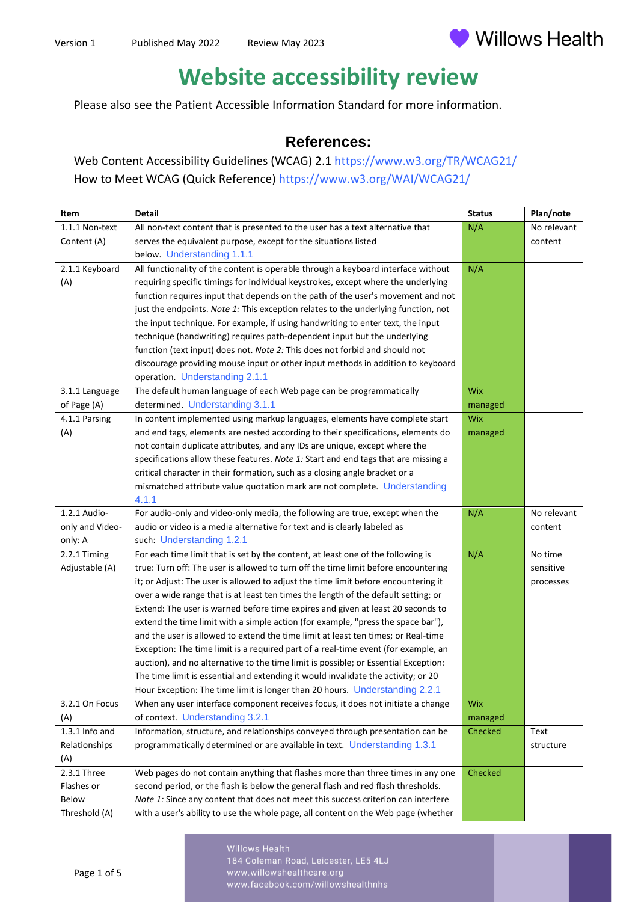

## **Website accessibility review**

Please also see the Patient Accessible Information Standard for more information.

## **References:**

Web Content Accessibility Guidelines (WCAG) 2.1 <https://www.w3.org/TR/WCAG21/> How to Meet WCAG (Quick Reference) <https://www.w3.org/WAI/WCAG21/>

| Item            | <b>Detail</b>                                                                       | <b>Status</b> | Plan/note   |
|-----------------|-------------------------------------------------------------------------------------|---------------|-------------|
| 1.1.1 Non-text  | All non-text content that is presented to the user has a text alternative that      | N/A           | No relevant |
| Content (A)     | serves the equivalent purpose, except for the situations listed                     |               | content     |
|                 | below. Understanding 1.1.1                                                          |               |             |
| 2.1.1 Keyboard  | All functionality of the content is operable through a keyboard interface without   | N/A           |             |
| (A)             | requiring specific timings for individual keystrokes, except where the underlying   |               |             |
|                 | function requires input that depends on the path of the user's movement and not     |               |             |
|                 | just the endpoints. Note 1: This exception relates to the underlying function, not  |               |             |
|                 | the input technique. For example, if using handwriting to enter text, the input     |               |             |
|                 | technique (handwriting) requires path-dependent input but the underlying            |               |             |
|                 | function (text input) does not. Note 2: This does not forbid and should not         |               |             |
|                 | discourage providing mouse input or other input methods in addition to keyboard     |               |             |
|                 | operation. Understanding 2.1.1                                                      |               |             |
| 3.1.1 Language  | The default human language of each Web page can be programmatically                 | Wix           |             |
| of Page (A)     | determined. Understanding 3.1.1                                                     | managed       |             |
| 4.1.1 Parsing   | In content implemented using markup languages, elements have complete start         | <b>Wix</b>    |             |
| (A)             | and end tags, elements are nested according to their specifications, elements do    | managed       |             |
|                 | not contain duplicate attributes, and any IDs are unique, except where the          |               |             |
|                 | specifications allow these features. Note 1: Start and end tags that are missing a  |               |             |
|                 | critical character in their formation, such as a closing angle bracket or a         |               |             |
|                 | mismatched attribute value quotation mark are not complete. Understanding           |               |             |
|                 | 4.1.1                                                                               |               |             |
| 1.2.1 Audio-    | For audio-only and video-only media, the following are true, except when the        | N/A           | No relevant |
| only and Video- | audio or video is a media alternative for text and is clearly labeled as            |               | content     |
| only: A         | such: Understanding 1.2.1                                                           |               |             |
| 2.2.1 Timing    | For each time limit that is set by the content, at least one of the following is    | N/A           | No time     |
| Adjustable (A)  | true: Turn off: The user is allowed to turn off the time limit before encountering  |               | sensitive   |
|                 | it; or Adjust: The user is allowed to adjust the time limit before encountering it  |               | processes   |
|                 | over a wide range that is at least ten times the length of the default setting; or  |               |             |
|                 | Extend: The user is warned before time expires and given at least 20 seconds to     |               |             |
|                 | extend the time limit with a simple action (for example, "press the space bar"),    |               |             |
|                 | and the user is allowed to extend the time limit at least ten times; or Real-time   |               |             |
|                 | Exception: The time limit is a required part of a real-time event (for example, an  |               |             |
|                 | auction), and no alternative to the time limit is possible; or Essential Exception: |               |             |
|                 | The time limit is essential and extending it would invalidate the activity; or 20   |               |             |
|                 | Hour Exception: The time limit is longer than 20 hours. Understanding 2.2.1         |               |             |
| 3.2.1 On Focus  | When any user interface component receives focus, it does not initiate a change     | <b>Wix</b>    |             |
| (A)             | of context. Understanding 3.2.1                                                     | managed       |             |
| 1.3.1 Info and  | Information, structure, and relationships conveyed through presentation can be      | Checked       | Text        |
| Relationships   | programmatically determined or are available in text. Understanding 1.3.1           |               | structure   |
| (A)             |                                                                                     |               |             |
| 2.3.1 Three     | Web pages do not contain anything that flashes more than three times in any one     | Checked       |             |
| Flashes or      | second period, or the flash is below the general flash and red flash thresholds.    |               |             |
| Below           | Note 1: Since any content that does not meet this success criterion can interfere   |               |             |
| Threshold (A)   | with a user's ability to use the whole page, all content on the Web page (whether   |               |             |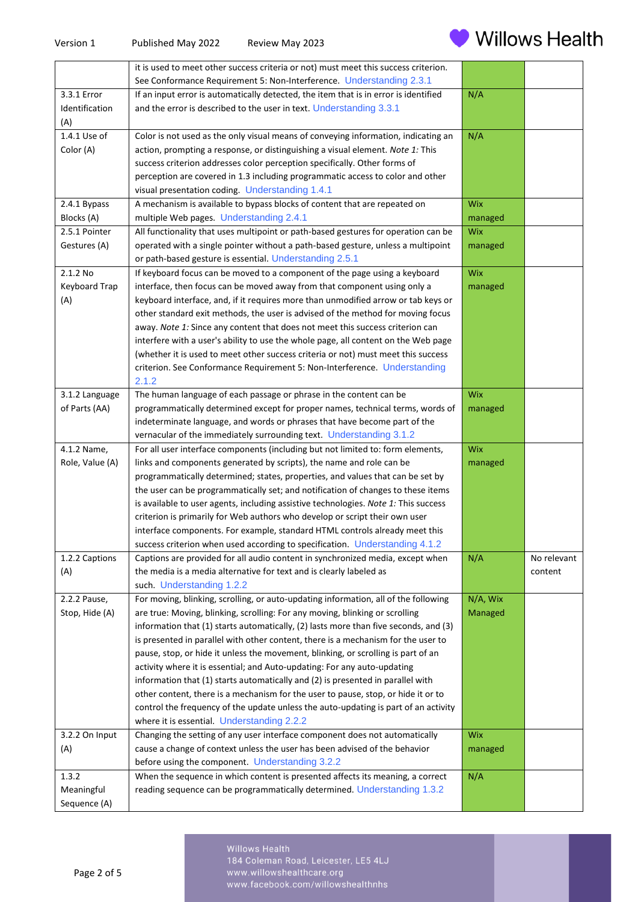

|                 | it is used to meet other success criteria or not) must meet this success criterion.  |            |             |
|-----------------|--------------------------------------------------------------------------------------|------------|-------------|
|                 | See Conformance Requirement 5: Non-Interference. Understanding 2.3.1                 |            |             |
| 3.3.1 Error     | If an input error is automatically detected, the item that is in error is identified | N/A        |             |
| Identification  | and the error is described to the user in text. Understanding 3.3.1                  |            |             |
| (A)             |                                                                                      |            |             |
| 1.4.1 Use of    | Color is not used as the only visual means of conveying information, indicating an   | N/A        |             |
| Color (A)       | action, prompting a response, or distinguishing a visual element. Note 1: This       |            |             |
|                 | success criterion addresses color perception specifically. Other forms of            |            |             |
|                 | perception are covered in 1.3 including programmatic access to color and other       |            |             |
|                 | visual presentation coding. Understanding 1.4.1                                      |            |             |
| 2.4.1 Bypass    | A mechanism is available to bypass blocks of content that are repeated on            | <b>Wix</b> |             |
| Blocks (A)      | multiple Web pages. Understanding 2.4.1                                              | managed    |             |
| 2.5.1 Pointer   | All functionality that uses multipoint or path-based gestures for operation can be   | <b>Wix</b> |             |
| Gestures (A)    | operated with a single pointer without a path-based gesture, unless a multipoint     | managed    |             |
|                 | or path-based gesture is essential. Understanding 2.5.1                              |            |             |
| 2.1.2 No        | If keyboard focus can be moved to a component of the page using a keyboard           | <b>Wix</b> |             |
| Keyboard Trap   | interface, then focus can be moved away from that component using only a             | managed    |             |
| (A)             | keyboard interface, and, if it requires more than unmodified arrow or tab keys or    |            |             |
|                 | other standard exit methods, the user is advised of the method for moving focus      |            |             |
|                 | away. Note 1: Since any content that does not meet this success criterion can        |            |             |
|                 | interfere with a user's ability to use the whole page, all content on the Web page   |            |             |
|                 | (whether it is used to meet other success criteria or not) must meet this success    |            |             |
|                 | criterion. See Conformance Requirement 5: Non-Interference. Understanding            |            |             |
| 3.1.2 Language  | 2.1.2<br>The human language of each passage or phrase in the content can be          | <b>Wix</b> |             |
| of Parts (AA)   | programmatically determined except for proper names, technical terms, words of       |            |             |
|                 | indeterminate language, and words or phrases that have become part of the            | managed    |             |
|                 | vernacular of the immediately surrounding text. Understanding 3.1.2                  |            |             |
| 4.1.2 Name,     | For all user interface components (including but not limited to: form elements,      | Wix        |             |
| Role, Value (A) | links and components generated by scripts), the name and role can be                 | managed    |             |
|                 | programmatically determined; states, properties, and values that can be set by       |            |             |
|                 | the user can be programmatically set; and notification of changes to these items     |            |             |
|                 | is available to user agents, including assistive technologies. Note 1: This success  |            |             |
|                 | criterion is primarily for Web authors who develop or script their own user          |            |             |
|                 | interface components. For example, standard HTML controls already meet this          |            |             |
|                 | success criterion when used according to specification. Understanding 4.1.2          |            |             |
| 1.2.2 Captions  | Captions are provided for all audio content in synchronized media, except when       | N/A        | No relevant |
| (A)             | the media is a media alternative for text and is clearly labeled as                  |            | content     |
|                 | such. Understanding 1.2.2                                                            |            |             |
| 2.2.2 Pause,    | For moving, blinking, scrolling, or auto-updating information, all of the following  | N/A, Wix   |             |
| Stop, Hide (A)  | are true: Moving, blinking, scrolling: For any moving, blinking or scrolling         | Managed    |             |
|                 | information that (1) starts automatically, (2) lasts more than five seconds, and (3) |            |             |
|                 | is presented in parallel with other content, there is a mechanism for the user to    |            |             |
|                 | pause, stop, or hide it unless the movement, blinking, or scrolling is part of an    |            |             |
|                 | activity where it is essential; and Auto-updating: For any auto-updating             |            |             |
|                 | information that (1) starts automatically and (2) is presented in parallel with      |            |             |
|                 | other content, there is a mechanism for the user to pause, stop, or hide it or to    |            |             |
|                 | control the frequency of the update unless the auto-updating is part of an activity  |            |             |
|                 | where it is essential. Understanding 2.2.2                                           |            |             |
| 3.2.2 On Input  | Changing the setting of any user interface component does not automatically          | Wix        |             |
| (A)             | cause a change of context unless the user has been advised of the behavior           | managed    |             |
|                 | before using the component. Understanding 3.2.2                                      |            |             |
| 1.3.2           | When the sequence in which content is presented affects its meaning, a correct       | N/A        |             |
| Meaningful      | reading sequence can be programmatically determined. Understanding 1.3.2             |            |             |
| Sequence (A)    |                                                                                      |            |             |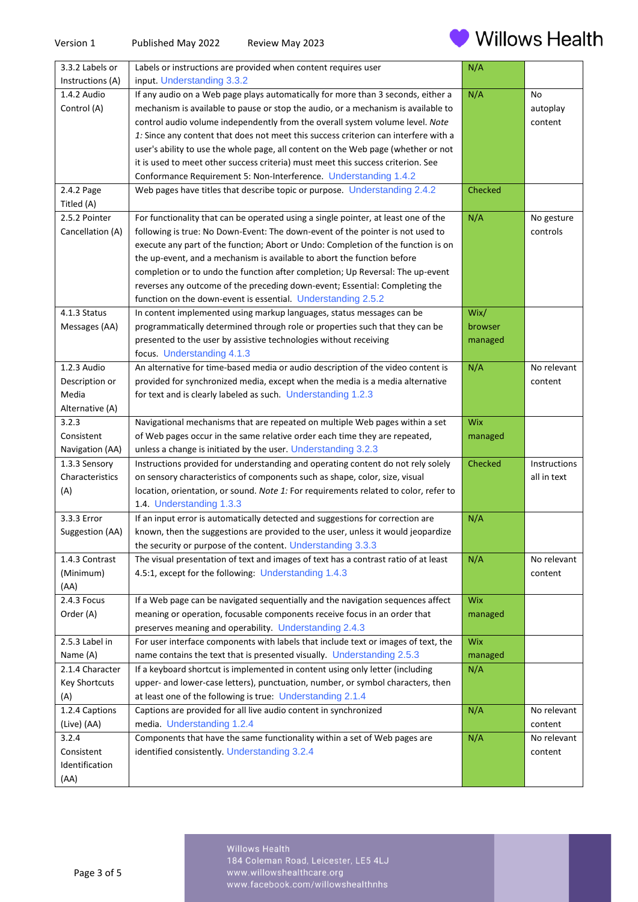

| 3.3.2 Labels or      | Labels or instructions are provided when content requires user                       | N/A     |              |
|----------------------|--------------------------------------------------------------------------------------|---------|--------------|
| Instructions (A)     | input. Understanding 3.3.2                                                           |         |              |
| 1.4.2 Audio          | If any audio on a Web page plays automatically for more than 3 seconds, either a     | N/A     | No           |
| Control (A)          | mechanism is available to pause or stop the audio, or a mechanism is available to    |         | autoplay     |
|                      | control audio volume independently from the overall system volume level. Note        |         | content      |
|                      | 1: Since any content that does not meet this success criterion can interfere with a  |         |              |
|                      | user's ability to use the whole page, all content on the Web page (whether or not    |         |              |
|                      | it is used to meet other success criteria) must meet this success criterion. See     |         |              |
|                      | Conformance Requirement 5: Non-Interference. Understanding 1.4.2                     |         |              |
| 2.4.2 Page           | Web pages have titles that describe topic or purpose. Understanding 2.4.2            | Checked |              |
| Titled (A)           |                                                                                      |         |              |
| 2.5.2 Pointer        | For functionality that can be operated using a single pointer, at least one of the   | N/A     | No gesture   |
| Cancellation (A)     | following is true: No Down-Event: The down-event of the pointer is not used to       |         | controls     |
|                      | execute any part of the function; Abort or Undo: Completion of the function is on    |         |              |
|                      | the up-event, and a mechanism is available to abort the function before              |         |              |
|                      | completion or to undo the function after completion; Up Reversal: The up-event       |         |              |
|                      | reverses any outcome of the preceding down-event; Essential: Completing the          |         |              |
|                      | function on the down-event is essential. Understanding 2.5.2                         |         |              |
| 4.1.3 Status         | In content implemented using markup languages, status messages can be                | Wix/    |              |
| Messages (AA)        | programmatically determined through role or properties such that they can be         | browser |              |
|                      | presented to the user by assistive technologies without receiving                    | managed |              |
|                      | focus. Understanding 4.1.3                                                           |         |              |
| 1.2.3 Audio          | An alternative for time-based media or audio description of the video content is     | N/A     | No relevant  |
| Description or       | provided for synchronized media, except when the media is a media alternative        |         | content      |
| Media                | for text and is clearly labeled as such. Understanding 1.2.3                         |         |              |
| Alternative (A)      |                                                                                      |         |              |
| 3.2.3                | Navigational mechanisms that are repeated on multiple Web pages within a set         | Wix     |              |
| Consistent           | of Web pages occur in the same relative order each time they are repeated,           | managed |              |
| Navigation (AA)      | unless a change is initiated by the user. Understanding 3.2.3                        |         |              |
| 1.3.3 Sensory        | Instructions provided for understanding and operating content do not rely solely     | Checked | Instructions |
| Characteristics      | on sensory characteristics of components such as shape, color, size, visual          |         | all in text  |
| (A)                  | location, orientation, or sound. Note 1: For requirements related to color, refer to |         |              |
|                      | 1.4. Understanding 1.3.3                                                             |         |              |
| 3.3.3 Error          | If an input error is automatically detected and suggestions for correction are       | N/A     |              |
| Suggestion (AA)      | known, then the suggestions are provided to the user, unless it would jeopardize     |         |              |
|                      | the security or purpose of the content. Understanding 3.3.3                          |         |              |
| 1.4.3 Contrast       | The visual presentation of text and images of text has a contrast ratio of at least  | N/A     | No relevant  |
| (Minimum)            | 4.5:1, except for the following: Understanding 1.4.3                                 |         | content      |
| (AA)                 |                                                                                      |         |              |
| 2.4.3 Focus          | If a Web page can be navigated sequentially and the navigation sequences affect      | Wix     |              |
| Order (A)            | meaning or operation, focusable components receive focus in an order that            | managed |              |
|                      | preserves meaning and operability. Understanding 2.4.3                               |         |              |
| 2.5.3 Label in       | For user interface components with labels that include text or images of text, the   | Wix     |              |
| Name (A)             | name contains the text that is presented visually. Understanding 2.5.3               | managed |              |
| 2.1.4 Character      | If a keyboard shortcut is implemented in content using only letter (including        | N/A     |              |
| <b>Key Shortcuts</b> | upper- and lower-case letters), punctuation, number, or symbol characters, then      |         |              |
| (A)                  | at least one of the following is true: Understanding 2.1.4                           |         |              |
| 1.2.4 Captions       | Captions are provided for all live audio content in synchronized                     | N/A     | No relevant  |
| (Live) (AA)          | media. Understanding 1.2.4                                                           |         | content      |
| 3.2.4                | Components that have the same functionality within a set of Web pages are            | N/A     | No relevant  |
| Consistent           | identified consistently. Understanding 3.2.4                                         |         | content      |
| Identification       |                                                                                      |         |              |
| (AA)                 |                                                                                      |         |              |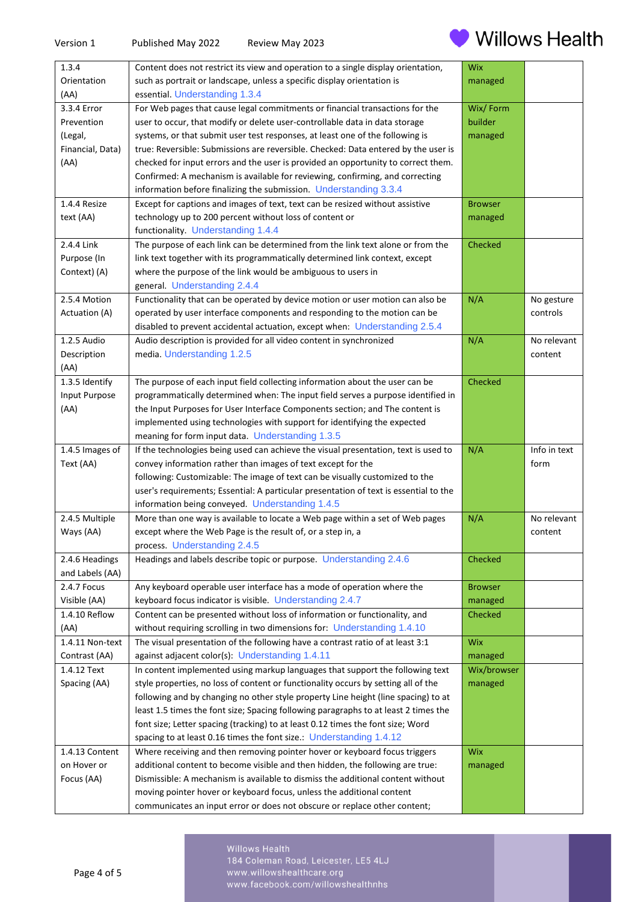

| 1.3.4            | Content does not restrict its view and operation to a single display orientation,                                                                  | Wix            |              |
|------------------|----------------------------------------------------------------------------------------------------------------------------------------------------|----------------|--------------|
| Orientation      | such as portrait or landscape, unless a specific display orientation is                                                                            | managed        |              |
| (AA)             | essential. Understanding 1.3.4                                                                                                                     |                |              |
| 3.3.4 Error      | For Web pages that cause legal commitments or financial transactions for the                                                                       | Wix/Form       |              |
| Prevention       | user to occur, that modify or delete user-controllable data in data storage                                                                        | builder        |              |
| (Legal,          | systems, or that submit user test responses, at least one of the following is                                                                      | managed        |              |
| Financial, Data) | true: Reversible: Submissions are reversible. Checked: Data entered by the user is                                                                 |                |              |
| (AA)             | checked for input errors and the user is provided an opportunity to correct them.                                                                  |                |              |
|                  | Confirmed: A mechanism is available for reviewing, confirming, and correcting                                                                      |                |              |
|                  | information before finalizing the submission. Understanding 3.3.4                                                                                  |                |              |
| 1.4.4 Resize     | Except for captions and images of text, text can be resized without assistive                                                                      | <b>Browser</b> |              |
|                  |                                                                                                                                                    |                |              |
| text (AA)        | technology up to 200 percent without loss of content or                                                                                            | managed        |              |
|                  | functionality. Understanding 1.4.4                                                                                                                 |                |              |
| 2.4.4 Link       | The purpose of each link can be determined from the link text alone or from the                                                                    | Checked        |              |
| Purpose (In      | link text together with its programmatically determined link context, except                                                                       |                |              |
| Context) (A)     | where the purpose of the link would be ambiguous to users in                                                                                       |                |              |
|                  | general. Understanding 2.4.4                                                                                                                       |                |              |
| 2.5.4 Motion     | Functionality that can be operated by device motion or user motion can also be                                                                     | N/A            | No gesture   |
| Actuation (A)    | operated by user interface components and responding to the motion can be                                                                          |                | controls     |
|                  | disabled to prevent accidental actuation, except when: Understanding 2.5.4                                                                         |                |              |
| 1.2.5 Audio      | Audio description is provided for all video content in synchronized                                                                                | N/A            | No relevant  |
| Description      | media. Understanding 1.2.5                                                                                                                         |                | content      |
| (AA)             |                                                                                                                                                    |                |              |
| 1.3.5 Identify   | The purpose of each input field collecting information about the user can be                                                                       | Checked        |              |
| Input Purpose    | programmatically determined when: The input field serves a purpose identified in                                                                   |                |              |
| (AA)             | the Input Purposes for User Interface Components section; and The content is                                                                       |                |              |
|                  | implemented using technologies with support for identifying the expected                                                                           |                |              |
|                  | meaning for form input data. Understanding 1.3.5                                                                                                   |                |              |
| 1.4.5 Images of  | If the technologies being used can achieve the visual presentation, text is used to                                                                | N/A            | Info in text |
| Text (AA)        | convey information rather than images of text except for the                                                                                       |                | form         |
|                  | following: Customizable: The image of text can be visually customized to the                                                                       |                |              |
|                  | user's requirements; Essential: A particular presentation of text is essential to the                                                              |                |              |
|                  | information being conveyed. Understanding 1.4.5                                                                                                    |                |              |
| 2.4.5 Multiple   | More than one way is available to locate a Web page within a set of Web pages                                                                      | N/A            | No relevant  |
| Ways (AA)        | except where the Web Page is the result of, or a step in, a                                                                                        |                | content      |
|                  | process. Understanding 2.4.5                                                                                                                       |                |              |
| 2.4.6 Headings   | Headings and labels describe topic or purpose. Understanding 2.4.6                                                                                 | Checked        |              |
| and Labels (AA)  |                                                                                                                                                    |                |              |
| 2.4.7 Focus      | Any keyboard operable user interface has a mode of operation where the                                                                             | <b>Browser</b> |              |
| Visible (AA)     | keyboard focus indicator is visible. Understanding 2.4.7                                                                                           | managed        |              |
| 1.4.10 Reflow    |                                                                                                                                                    |                |              |
| (AA)             |                                                                                                                                                    |                |              |
| 1.4.11 Non-text  | Content can be presented without loss of information or functionality, and                                                                         | Checked        |              |
|                  | without requiring scrolling in two dimensions for: Understanding 1.4.10                                                                            |                |              |
|                  | The visual presentation of the following have a contrast ratio of at least 3:1                                                                     | Wix            |              |
| Contrast (AA)    | against adjacent color(s): Understanding 1.4.11                                                                                                    | managed        |              |
| 1.4.12 Text      | In content implemented using markup languages that support the following text                                                                      | Wix/browser    |              |
| Spacing (AA)     | style properties, no loss of content or functionality occurs by setting all of the                                                                 | managed        |              |
|                  | following and by changing no other style property Line height (line spacing) to at                                                                 |                |              |
|                  | least 1.5 times the font size; Spacing following paragraphs to at least 2 times the                                                                |                |              |
|                  | font size; Letter spacing (tracking) to at least 0.12 times the font size; Word                                                                    |                |              |
|                  | spacing to at least 0.16 times the font size.: Understanding 1.4.12                                                                                |                |              |
| 1.4.13 Content   | Where receiving and then removing pointer hover or keyboard focus triggers                                                                         | Wix            |              |
| on Hover or      | additional content to become visible and then hidden, the following are true:                                                                      | managed        |              |
| Focus (AA)       | Dismissible: A mechanism is available to dismiss the additional content without                                                                    |                |              |
|                  | moving pointer hover or keyboard focus, unless the additional content<br>communicates an input error or does not obscure or replace other content; |                |              |